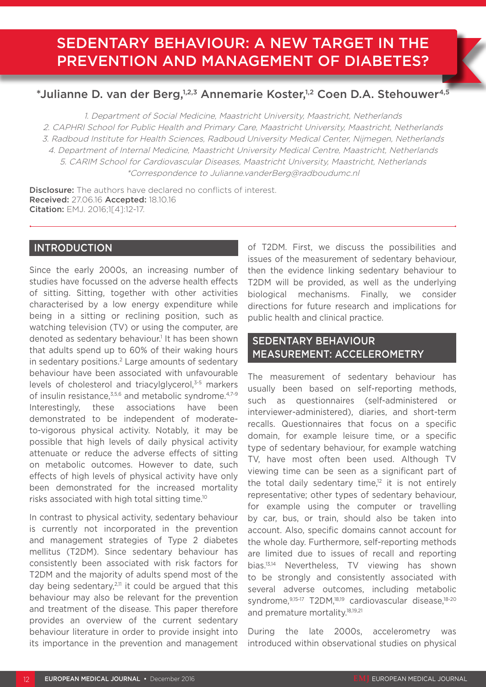# SEDENTARY BEHAVIOUR: A NEW TARGET IN THE PREVENTION AND MANAGEMENT OF DIABETES?

# \*Julianne D. van der Berg,<sup>1,2,3</sup> Annemarie Koster,<sup>1,2</sup> Coen D.A. Stehouwer<sup>4,5</sup>

1. Department of Social Medicine, Maastricht University, Maastricht, Netherlands 2. CAPHRI School for Public Health and Primary Care, Maastricht University, Maastricht, Netherlands 3. Radboud Institute for Health Sciences, Radboud University Medical Center, Nijmegen, Netherlands 4. Department of Internal Medicine, Maastricht University Medical Centre, Maastricht, Netherlands 5. CARIM School for Cardiovascular Diseases, Maastricht University, Maastricht, Netherlands \*Correspondence to Julianne.vanderBerg@radboudumc.nl

**Disclosure:** The authors have declared no conflicts of interest. Received: 27.06.16 Accepted: 18.10.16 Citation: EMJ. 2016;1[4]:12-17.

### **INTRODUCTION**

Since the early 2000s, an increasing number of studies have focussed on the adverse health effects of sitting. Sitting, together with other activities characterised by a low energy expenditure while being in a sitting or reclining position, such as watching television (TV) or using the computer, are denoted as sedentary behaviour.<sup>1</sup> It has been shown that adults spend up to 60% of their waking hours in sedentary positions.<sup>2</sup> Large amounts of sedentary behaviour have been associated with unfavourable levels of cholesterol and triacylglycerol,<sup>3-5</sup> markers of insulin resistance,3,5,6 and metabolic syndrome.4,7-9 Interestingly, these associations have been demonstrated to be independent of moderateto-vigorous physical activity. Notably, it may be possible that high levels of daily physical activity attenuate or reduce the adverse effects of sitting on metabolic outcomes. However to date, such effects of high levels of physical activity have only been demonstrated for the increased mortality risks associated with high total sitting time.10

In contrast to physical activity, sedentary behaviour is currently not incorporated in the prevention and management strategies of Type 2 diabetes mellitus (T2DM). Since sedentary behaviour has consistently been associated with risk factors for T2DM and the majority of adults spend most of the day being sedentary, $2,11$  it could be argued that this behaviour may also be relevant for the prevention and treatment of the disease. This paper therefore provides an overview of the current sedentary behaviour literature in order to provide insight into its importance in the prevention and management

of T2DM. First, we discuss the possibilities and issues of the measurement of sedentary behaviour, then the evidence linking sedentary behaviour to T2DM will be provided, as well as the underlying biological mechanisms. Finally, we consider directions for future research and implications for public health and clinical practice.

# SEDENTARY BEHAVIOUR MEASUREMENT: ACCELEROMETRY

The measurement of sedentary behaviour has usually been based on self-reporting methods, such as questionnaires (self-administered or interviewer-administered), diaries, and short-term recalls. Questionnaires that focus on a specific domain, for example leisure time, or a specific type of sedentary behaviour, for example watching TV, have most often been used. Although TV viewing time can be seen as a significant part of the total daily sedentary time,<sup>12</sup> it is not entirely representative; other types of sedentary behaviour, for example using the computer or travelling by car, bus, or train, should also be taken into account. Also, specific domains cannot account for the whole day. Furthermore, self-reporting methods are limited due to issues of recall and reporting bias.13,14 Nevertheless, TV viewing has shown to be strongly and consistently associated with several adverse outcomes, including metabolic syndrome, 9,15-17 T2DM, 18,19 cardiovascular disease, 18-20 and premature mortality.<sup>18,19,21</sup>

During the late 2000s, accelerometry was introduced within observational studies on physical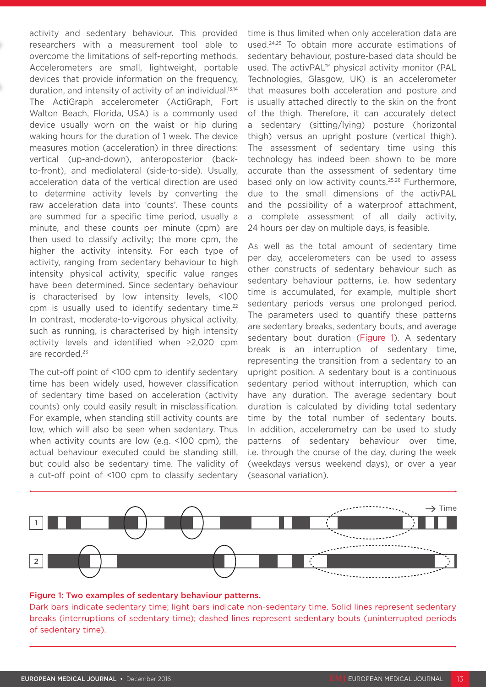activity and sedentary behaviour. This provided researchers with a measurement tool able to overcome the limitations of self-reporting methods. Accelerometers are small, lightweight, portable devices that provide information on the frequency, duration, and intensity of activity of an individual.<sup>13,14</sup> The ActiGraph accelerometer (ActiGraph, Fort Walton Beach, Florida, USA) is a commonly used device usually worn on the waist or hip during waking hours for the duration of 1 week. The device measures motion (acceleration) in three directions: vertical (up-and-down), anteroposterior (backto-front), and mediolateral (side-to-side). Usually, acceleration data of the vertical direction are used to determine activity levels by converting the raw acceleration data into 'counts'. These counts are summed for a specific time period, usually a minute, and these counts per minute (cpm) are then used to classify activity; the more cpm, the higher the activity intensity. For each type of activity, ranging from sedentary behaviour to high intensity physical activity, specific value ranges have been determined. Since sedentary behaviour is characterised by low intensity levels, <100 cpm is usually used to identify sedentary time.<sup>22</sup> In contrast, moderate-to-vigorous physical activity, such as running, is characterised by high intensity activity levels and identified when ≥2,020 cpm are recorded.23

The cut-off point of <100 cpm to identify sedentary time has been widely used, however classification of sedentary time based on acceleration (activity counts) only could easily result in misclassification. For example, when standing still activity counts are low, which will also be seen when sedentary. Thus when activity counts are low (e.g. <100 cpm), the actual behaviour executed could be standing still, but could also be sedentary time. The validity of a cut-off point of <100 cpm to classify sedentary time is thus limited when only acceleration data are used.24,25 To obtain more accurate estimations of sedentary behaviour, posture-based data should be used. The activPAL™ physical activity monitor (PAL Technologies, Glasgow, UK) is an accelerometer that measures both acceleration and posture and is usually attached directly to the skin on the front of the thigh. Therefore, it can accurately detect a sedentary (sitting/lying) posture (horizontal thigh) versus an upright posture (vertical thigh). The assessment of sedentary time using this technology has indeed been shown to be more accurate than the assessment of sedentary time based only on low activity counts.<sup>25,26</sup> Furthermore, due to the small dimensions of the activPAL and the possibility of a waterproof attachment, a complete assessment of all daily activity, 24 hours per day on multiple days, is feasible.

As well as the total amount of sedentary time per day, accelerometers can be used to assess other constructs of sedentary behaviour such as sedentary behaviour patterns, i.e. how sedentary time is accumulated, for example, multiple short sedentary periods versus one prolonged period. The parameters used to quantify these patterns are sedentary breaks, sedentary bouts, and average sedentary bout duration (Figure 1). A sedentary break is an interruption of sedentary time, representing the transition from a sedentary to an upright position. A sedentary bout is a continuous sedentary period without interruption, which can have any duration. The average sedentary bout duration is calculated by dividing total sedentary time by the total number of sedentary bouts. In addition, accelerometry can be used to study patterns of sedentary behaviour over time, i.e. through the course of the day, during the week (weekdays versus weekend days), or over a year (seasonal variation).



#### Figure 1: Two examples of sedentary behaviour patterns.

Dark bars indicate sedentary time; light bars indicate non-sedentary time. Solid lines represent sedentary breaks (interruptions of sedentary time); dashed lines represent sedentary bouts (uninterrupted periods of sedentary time).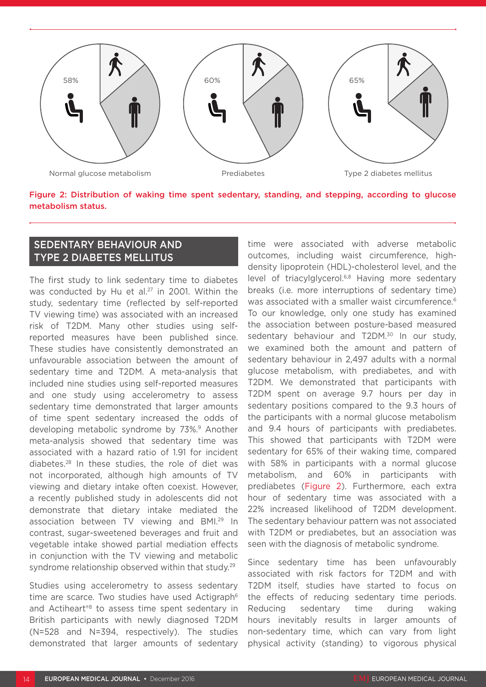

Figure 2: Distribution of waking time spent sedentary, standing, and stepping, according to glucose metabolism status.

## SEDENTARY BEHAVIOUR AND TYPE 2 DIABETES MELLITUS

The first study to link sedentary time to diabetes was conducted by Hu et al.<sup>27</sup> in 2001. Within the study, sedentary time (reflected by self-reported TV viewing time) was associated with an increased risk of T2DM. Many other studies using selfreported measures have been published since. These studies have consistently demonstrated an unfavourable association between the amount of sedentary time and T2DM. A meta-analysis that included nine studies using self-reported measures and one study using accelerometry to assess sedentary time demonstrated that larger amounts of time spent sedentary increased the odds of developing metabolic syndrome by 73%.<sup>9</sup> Another meta-analysis showed that sedentary time was associated with a hazard ratio of 1.91 for incident diabetes.28 In these studies, the role of diet was not incorporated, although high amounts of TV viewing and dietary intake often coexist. However, a recently published study in adolescents did not demonstrate that dietary intake mediated the association between TV viewing and BMI.<sup>29</sup> In contrast, sugar-sweetened beverages and fruit and vegetable intake showed partial mediation effects in conjunction with the TV viewing and metabolic syndrome relationship observed within that study.<sup>29</sup>

Studies using accelerometry to assess sedentary time are scarce. Two studies have used Actigraph<sup>6</sup> and Actiheart<sup>®8</sup> to assess time spent sedentary in British participants with newly diagnosed T2DM (N=528 and N=394, respectively). The studies demonstrated that larger amounts of sedentary

time were associated with adverse metabolic outcomes, including waist circumference, highdensity lipoprotein (HDL)-cholesterol level, and the level of triacylglycerol.<sup>6,8</sup> Having more sedentary breaks (i.e. more interruptions of sedentary time) was associated with a smaller waist circumference.<sup>6</sup> To our knowledge, only one study has examined the association between posture-based measured sedentary behaviour and T2DM.<sup>30</sup> In our study, we examined both the amount and pattern of sedentary behaviour in 2,497 adults with a normal glucose metabolism, with prediabetes, and with T2DM. We demonstrated that participants with T2DM spent on average 9.7 hours per day in sedentary positions compared to the 9.3 hours of the participants with a normal glucose metabolism and 9.4 hours of participants with prediabetes. This showed that participants with T2DM were sedentary for 65% of their waking time, compared with 58% in participants with a normal glucose metabolism, and 60% in participants with prediabetes (Figure 2). Furthermore, each extra hour of sedentary time was associated with a 22% increased likelihood of T2DM development. The sedentary behaviour pattern was not associated with T2DM or prediabetes, but an association was seen with the diagnosis of metabolic syndrome.

Since sedentary time has been unfavourably associated with risk factors for T2DM and with T2DM itself, studies have started to focus on the effects of reducing sedentary time periods. Reducing sedentary time during waking hours inevitably results in larger amounts of non-sedentary time, which can vary from light physical activity (standing) to vigorous physical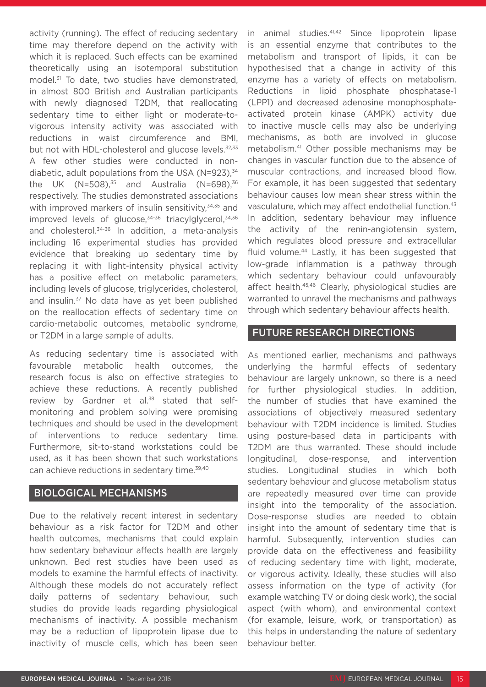activity (running). The effect of reducing sedentary time may therefore depend on the activity with which it is replaced. Such effects can be examined theoretically using an isotemporal substitution model.<sup>31</sup> To date, two studies have demonstrated, in almost 800 British and Australian participants with newly diagnosed T2DM, that reallocating sedentary time to either light or moderate-tovigorous intensity activity was associated with reductions in waist circumference and BMI, but not with HDL-cholesterol and glucose levels.<sup>32,33</sup> A few other studies were conducted in nondiabetic, adult populations from the USA (N=923), $34$ the UK  $(N=508)^{35}$  and Australia  $(N=698)^{36}$ respectively. The studies demonstrated associations with improved markers of insulin sensitivity, $34,35$  and improved levels of glucose,<sup>34-36</sup> triacylglycerol,<sup>34,36</sup> and cholesterol.34-36 In addition, a meta-analysis including 16 experimental studies has provided evidence that breaking up sedentary time by replacing it with light-intensity physical activity has a positive effect on metabolic parameters, including levels of glucose, triglycerides, cholesterol, and insulin.37 No data have as yet been published on the reallocation effects of sedentary time on cardio-metabolic outcomes, metabolic syndrome, or T2DM in a large sample of adults.

As reducing sedentary time is associated with favourable metabolic health outcomes, the research focus is also on effective strategies to achieve these reductions. A recently published review by Gardner et al.<sup>38</sup> stated that selfmonitoring and problem solving were promising techniques and should be used in the development of interventions to reduce sedentary time. Furthermore, sit-to-stand workstations could be used, as it has been shown that such workstations can achieve reductions in sedentary time.<sup>39,40</sup>

#### BIOLOGICAL MECHANISMS

Due to the relatively recent interest in sedentary behaviour as a risk factor for T2DM and other health outcomes, mechanisms that could explain how sedentary behaviour affects health are largely unknown. Bed rest studies have been used as models to examine the harmful effects of inactivity. Although these models do not accurately reflect daily patterns of sedentary behaviour, such studies do provide leads regarding physiological mechanisms of inactivity. A possible mechanism may be a reduction of lipoprotein lipase due to inactivity of muscle cells, which has been seen

in animal studies.41,42 Since lipoprotein lipase is an essential enzyme that contributes to the metabolism and transport of lipids, it can be hypothesised that a change in activity of this enzyme has a variety of effects on metabolism. Reductions in lipid phosphate phosphatase-1 (LPP1) and decreased adenosine monophosphateactivated protein kinase (AMPK) activity due to inactive muscle cells may also be underlying mechanisms, as both are involved in glucose metabolism.41 Other possible mechanisms may be changes in vascular function due to the absence of muscular contractions, and increased blood flow. For example, it has been suggested that sedentary behaviour causes low mean shear stress within the vasculature, which may affect endothelial function.43 In addition, sedentary behaviour may influence the activity of the renin-angiotensin system, which regulates blood pressure and extracellular fluid volume.<sup>44</sup> Lastly, it has been suggested that low-grade inflammation is a pathway through which sedentary behaviour could unfavourably affect health.45,46 Clearly, physiological studies are warranted to unravel the mechanisms and pathways through which sedentary behaviour affects health.

#### FUTURE RESEARCH DIRECTIONS

As mentioned earlier, mechanisms and pathways underlying the harmful effects of sedentary behaviour are largely unknown, so there is a need for further physiological studies. In addition, the number of studies that have examined the associations of objectively measured sedentary behaviour with T2DM incidence is limited. Studies using posture-based data in participants with T2DM are thus warranted. These should include longitudinal, dose-response, and intervention studies. Longitudinal studies in which both sedentary behaviour and glucose metabolism status are repeatedly measured over time can provide insight into the temporality of the association. Dose-response studies are needed to obtain insight into the amount of sedentary time that is harmful. Subsequently, intervention studies can provide data on the effectiveness and feasibility of reducing sedentary time with light, moderate, or vigorous activity. Ideally, these studies will also assess information on the type of activity (for example watching TV or doing desk work), the social aspect (with whom), and environmental context (for example, leisure, work, or transportation) as this helps in understanding the nature of sedentary behaviour better.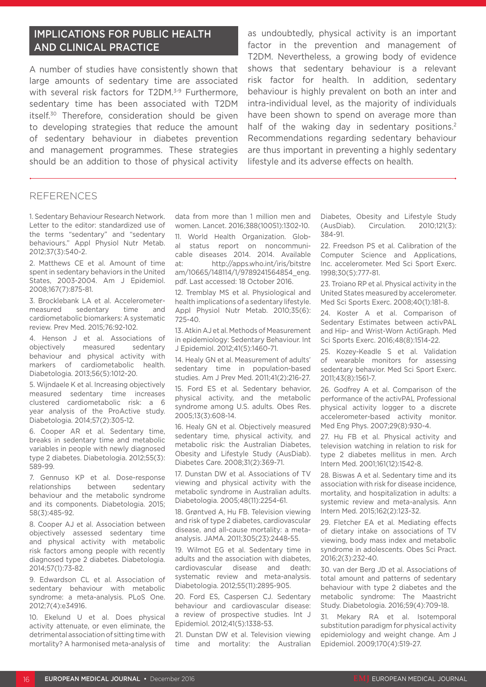# IMPLICATIONS FOR PUBLIC HEALTH AND CLINICAL PRACTICE

A number of studies have consistently shown that large amounts of sedentary time are associated with several risk factors for T2DM.<sup>3-9</sup> Furthermore, sedentary time has been associated with T2DM itself.<sup>30</sup> Therefore, consideration should be given to developing strategies that reduce the amount of sedentary behaviour in diabetes prevention and management programmes. These strategies should be an addition to those of physical activity

as undoubtedly, physical activity is an important factor in the prevention and management of T2DM. Nevertheless, a growing body of evidence shows that sedentary behaviour is a relevant risk factor for health. In addition, sedentary behaviour is highly prevalent on both an inter and intra-individual level, as the majority of individuals have been shown to spend on average more than half of the waking day in sedentary positions.<sup>2</sup> Recommendations regarding sedentary behaviour are thus important in preventing a highly sedentary lifestyle and its adverse effects on health.

#### REFERENCES

1. Sedentary Behaviour Research Network. Letter to the editor: standardized use of the terms "sedentary" and "sedentary behaviours." Appl Physiol Nutr Metab. 2012;37(3):540-2.

2. Matthews CE et al. Amount of time spent in sedentary behaviors in the United States, 2003-2004. Am J Epidemiol. 2008;167(7):875-81.

3. Brocklebank LA et al. Accelerometermeasured sedentary time and cardiometabolic biomarkers: A systematic review. Prev Med. 2015;76:92-102.

4. Henson J et al. Associations of objectively measured sedentary behaviour and physical activity with markers of cardiometabolic health. Diabetologia. 2013;56(5):1012-20.

5. Wijndaele K et al. Increasing objectively measured sedentary time increases clustered cardiometabolic risk: a 6 year analysis of the ProActive study. Diabetologia. 2014;57(2):305-12.

6. Cooper AR et al. Sedentary time, breaks in sedentary time and metabolic variables in people with newly diagnosed type 2 diabetes. Diabetologia. 2012;55(3): 589-99.

7. Gennuso KP et al. Dose-response relationships between sedentary behaviour and the metabolic syndrome and its components. Diabetologia. 2015; 58(3):485-92.

8. Cooper AJ et al. Association between objectively assessed sedentary time and physical activity with metabolic risk factors among people with recently diagnosed type 2 diabetes. Diabetologia. 2014;57(1):73-82.

9. Edwardson CL et al. Association of sedentary behaviour with metabolic syndrome: a meta-analysis. PLoS One. 2012;7(4):e34916.

10. Ekelund U et al. Does physical activity attenuate, or even eliminate, the detrimental association of sitting time with mortality? A harmonised meta-analysis of data from more than 1 million men and women. Lancet. 2016;388(10051):1302-10. 11. World Health Organization. Glob-

al status report on noncommunicable diseases 2014. 2014. Available at: http://apps.who.int/iris/bitstre am/10665/148114/1/9789241564854\_eng. pdf. Last accessed: 18 October 2016.

12. Tremblay MS et al. Physiological and health implications of a sedentary lifestyle. Appl Physiol Nutr Metab. 2010;35(6): 725-40.

13. Atkin AJ et al. Methods of Measurement in epidemiology: Sedentary Behaviour. Int J Epidemiol. 2012;41(5):1460-71.

14. Healy GN et al. Measurement of adults' sedentary time in population-based studies. Am J Prev Med. 2011;41(2):216-27.

15. Ford ES et al. Sedentary behavior, physical activity, and the metabolic syndrome among U.S. adults. Obes Res. 2005;13(3):608-14.

16. Healy GN et al. Objectively measured sedentary time, physical activity, and metabolic risk: the Australian Diabetes, Obesity and Lifestyle Study (AusDiab). Diabetes Care. 2008;31(2):369-71.

17. Dunstan DW et al. Associations of TV viewing and physical activity with the metabolic syndrome in Australian adults. Diabetologia. 2005;48(11):2254-61.

18. Grøntved A, Hu FB. Television viewing and risk of type 2 diabetes, cardiovascular disease, and all-cause mortality: a metaanalysis. JAMA. 2011;305(23):2448-55.

19. Wilmot EG et al. Sedentary time in adults and the association with diabetes, cardiovascular disease and death: systematic review and meta-analysis. Diabetologia. 2012;55(11):2895-905.

20. Ford ES, Caspersen CJ. Sedentary behaviour and cardiovascular disease: a review of prospective studies. Int J Epidemiol. 2012;41(5):1338-53.

21. Dunstan DW et al. Television viewing time and mortality: the Australian Diabetes, Obesity and Lifestyle Study (AusDiab). Circulation. 2010;121(3): 384-91.

22. Freedson PS et al. Calibration of the Computer Science and Applications, Inc. accelerometer. Med Sci Sport Exerc. 1998;30(5):777-81.

23. Troiano RP et al. Physical activity in the United States measured by accelerometer. Med Sci Sports Exerc. 2008;40(1):181-8.

24. Koster A et al. Comparison of Sedentary Estimates between activPAL and Hip- and Wrist-Worn ActiGraph. Med Sci Sports Exerc. 2016;48(8):1514-22.

25. Kozey-Keadle S et al. Validation of wearable monitors for assessing sedentary behavior. Med Sci Sport Exerc. 2011;43(8):1561-7.

26. Godfrey A et al. Comparison of the performance of the activPAL Professional physical activity logger to a discrete accelerometer-based activity monitor. Med Eng Phys. 2007;29(8):930-4.

27. Hu FB et al. Physical activity and television watching in relation to risk for type 2 diabetes mellitus in men. Arch Intern Med. 2001;161(12):1542-8.

28. Biswas A et al. Sedentary time and its association with risk for disease incidence, mortality, and hospitalization in adults: a systemic review and meta-analysis. Ann Intern Med. 2015;162(2):123-32.

29. Fletcher EA et al. Mediating effects of dietary intake on associations of TV viewing, body mass index and metabolic syndrome in adolescents. Obes Sci Pract. 2016;2(3):232-40.

30. van der Berg JD et al. Associations of total amount and patterns of sedentary behaviour with type 2 diabetes and the metabolic syndrome: The Maastricht Study. Diabetologia. 2016;59(4):709-18.

31. Mekary RA et al. Isotemporal substitution paradigm for physical activity epidemiology and weight change. Am J Epidemiol. 2009;170(4):519-27.